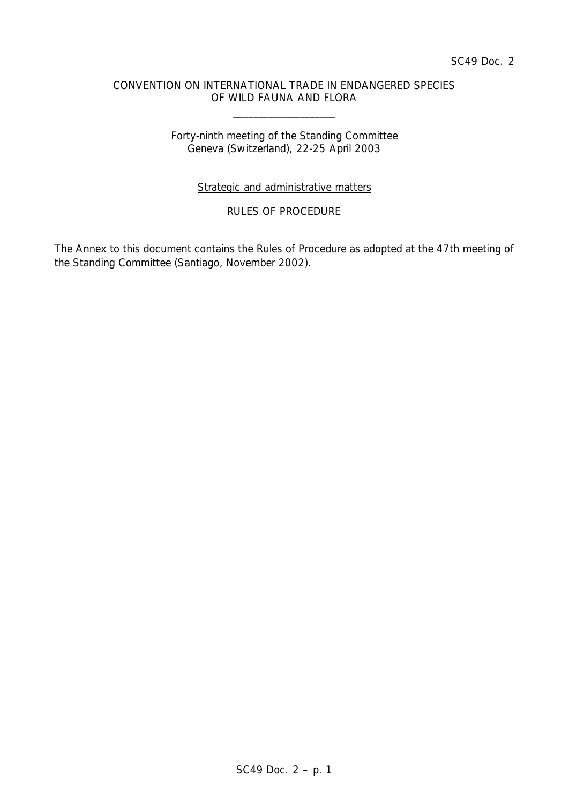### CONVENTION ON INTERNATIONAL TRADE IN ENDANGERED SPECIES OF WILD FAUNA AND FLORA

\_\_\_\_\_\_\_\_\_\_\_\_\_\_\_\_\_\_\_\_

## Forty-ninth meeting of the Standing Committee Geneva (Switzerland), 22-25 April 2003

# Strategic and administrative matters

# RULES OF PROCEDURE

The Annex to this document contains the Rules of Procedure as adopted at the 47th meeting of the Standing Committee (Santiago, November 2002).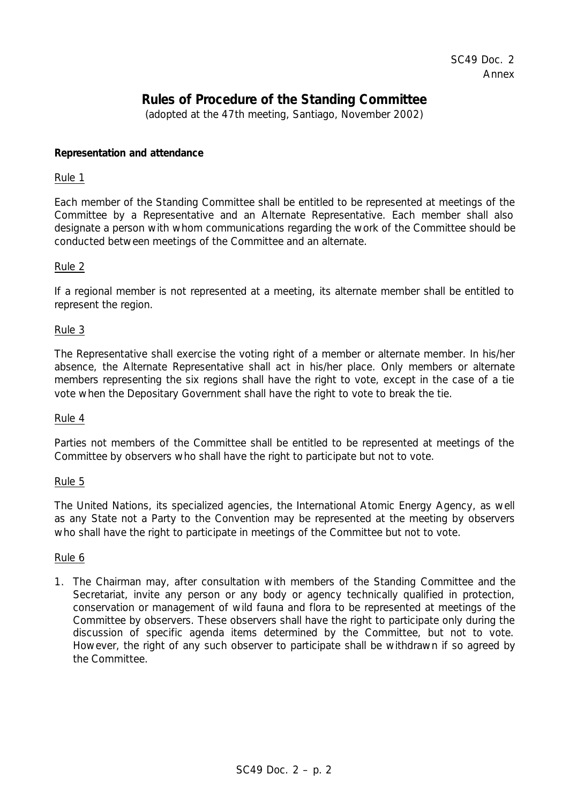# **Rules of Procedure of the Standing Committee**

(adopted at the 47th meeting, Santiago, November 2002)

### **Representation and attendance**

#### Rule 1

Each member of the Standing Committee shall be entitled to be represented at meetings of the Committee by a Representative and an Alternate Representative. Each member shall also designate a person with whom communications regarding the work of the Committee should be conducted between meetings of the Committee and an alternate.

# Rule 2

If a regional member is not represented at a meeting, its alternate member shall be entitled to represent the region.

## Rule 3

The Representative shall exercise the voting right of a member or alternate member. In his/her absence, the Alternate Representative shall act in his/her place. Only members or alternate members representing the six regions shall have the right to vote, except in the case of a tie vote when the Depositary Government shall have the right to vote to break the tie.

#### Rule 4

Parties not members of the Committee shall be entitled to be represented at meetings of the Committee by observers who shall have the right to participate but not to vote.

#### Rule 5

The United Nations, its specialized agencies, the International Atomic Energy Agency, as well as any State not a Party to the Convention may be represented at the meeting by observers who shall have the right to participate in meetings of the Committee but not to vote.

#### Rule 6

1. The Chairman may, after consultation with members of the Standing Committee and the Secretariat, invite any person or any body or agency technically qualified in protection, conservation or management of wild fauna and flora to be represented at meetings of the Committee by observers. These observers shall have the right to participate only during the discussion of specific agenda items determined by the Committee, but not to vote. However, the right of any such observer to participate shall be withdrawn if so agreed by the Committee.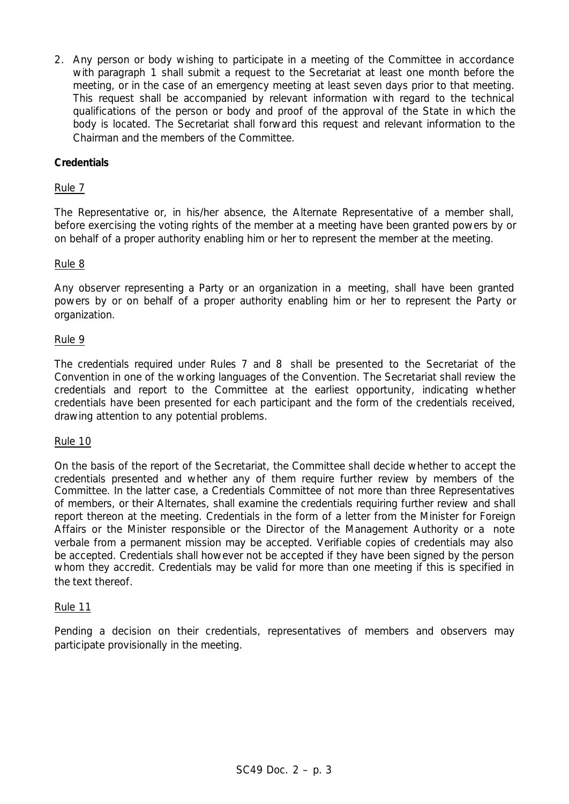2. Any person or body wishing to participate in a meeting of the Committee in accordance with paragraph 1 shall submit a request to the Secretariat at least one month before the meeting, or in the case of an emergency meeting at least seven days prior to that meeting. This request shall be accompanied by relevant information with regard to the technical qualifications of the person or body and proof of the approval of the State in which the body is located. The Secretariat shall forward this request and relevant information to the Chairman and the members of the Committee.

## **Credentials**

### Rule 7

The Representative or, in his/her absence, the Alternate Representative of a member shall, before exercising the voting rights of the member at a meeting have been granted powers by or on behalf of a proper authority enabling him or her to represent the member at the meeting.

#### Rule 8

Any observer representing a Party or an organization in a meeting, shall have been granted powers by or on behalf of a proper authority enabling him or her to represent the Party or organization.

## Rule 9

The credentials required under Rules 7 and 8 shall be presented to the Secretariat of the Convention in one of the working languages of the Convention. The Secretariat shall review the credentials and report to the Committee at the earliest opportunity, indicating whether credentials have been presented for each participant and the form of the credentials received, drawing attention to any potential problems.

#### Rule 10

On the basis of the report of the Secretariat, the Committee shall decide whether to accept the credentials presented and whether any of them require further review by members of the Committee. In the latter case, a Credentials Committee of not more than three Representatives of members, or their Alternates, shall examine the credentials requiring further review and shall report thereon at the meeting. Credentials in the form of a letter from the Minister for Foreign Affairs or the Minister responsible or the Director of the Management Authority or a *note verbale* from a permanent mission may be accepted. Verifiable copies of credentials may also be accepted. Credentials shall however not be accepted if they have been signed by the person whom they accredit. Credentials may be valid for more than one meeting if this is specified in the text thereof.

#### Rule 11

Pending a decision on their credentials, representatives of members and observers may participate provisionally in the meeting.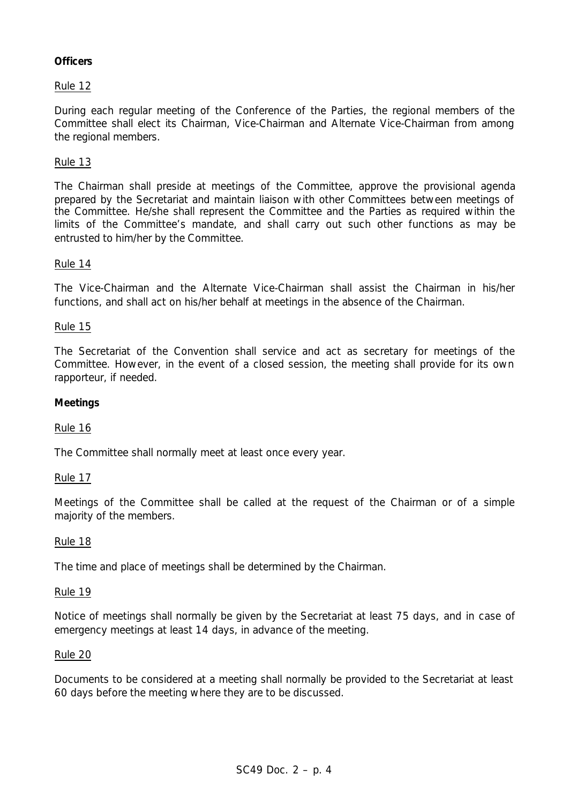# **Officers**

# Rule 12

During each regular meeting of the Conference of the Parties, the regional members of the Committee shall elect its Chairman, Vice-Chairman and Alternate Vice-Chairman from among the regional members.

### Rule 13

The Chairman shall preside at meetings of the Committee, approve the provisional agenda prepared by the Secretariat and maintain liaison with other Committees between meetings of the Committee. He/she shall represent the Committee and the Parties as required within the limits of the Committee's mandate, and shall carry out such other functions as may be entrusted to him/her by the Committee.

#### Rule 14

The Vice-Chairman and the Alternate Vice-Chairman shall assist the Chairman in his/her functions, and shall act on his/her behalf at meetings in the absence of the Chairman.

#### Rule 15

The Secretariat of the Convention shall service and act as secretary for meetings of the Committee. However, in the event of a closed session, the meeting shall provide for its own rapporteur, if needed.

#### **Meetings**

#### Rule 16

The Committee shall normally meet at least once every year.

#### Rule 17

Meetings of the Committee shall be called at the request of the Chairman or of a simple majority of the members.

#### Rule 18

The time and place of meetings shall be determined by the Chairman.

#### Rule 19

Notice of meetings shall normally be given by the Secretariat at least 75 days, and in case of emergency meetings at least 14 days, in advance of the meeting.

#### Rule 20

Documents to be considered at a meeting shall normally be provided to the Secretariat at least 60 days before the meeting where they are to be discussed.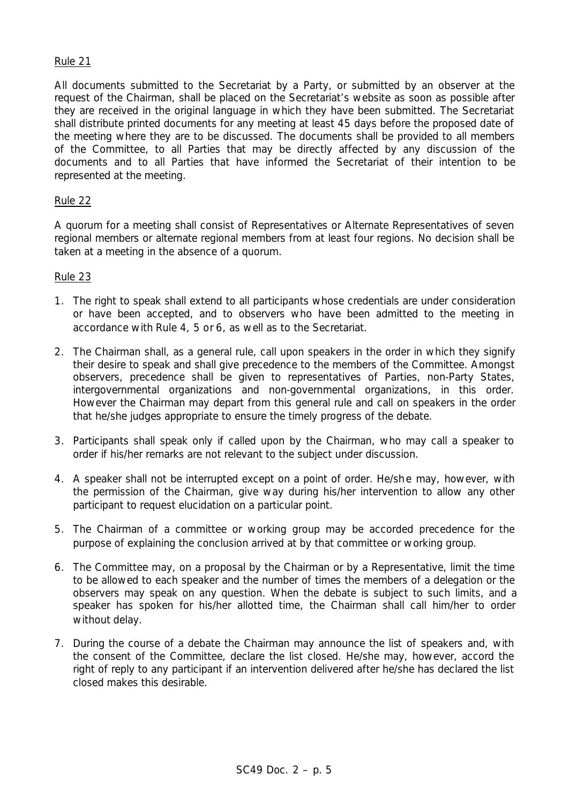#### Rule 21

All documents submitted to the Secretariat by a Party, or submitted by an observer at the request of the Chairman, shall be placed on the Secretariat's website as soon as possible after they are received in the original language in which they have been submitted. The Secretariat shall distribute printed documents for any meeting at least 45 days before the proposed date of the meeting where they are to be discussed. The documents shall be provided to all members of the Committee, to all Parties that may be directly affected by any discussion of the documents and to all Parties that have informed the Secretariat of their intention to be represented at the meeting.

#### Rule 22

A quorum for a meeting shall consist of Representatives or Alternate Representatives of seven regional members or alternate regional members from at least four regions. No decision shall be taken at a meeting in the absence of a quorum.

#### Rule 23

- 1. The right to speak shall extend to all participants whose credentials are under consideration or have been accepted, and to observers who have been admitted to the meeting in accordance with Rule 4, 5 or 6, as well as to the Secretariat.
- 2. The Chairman shall, as a general rule, call upon speakers in the order in which they signify their desire to speak and shall give precedence to the members of the Committee. Amongst observers, precedence shall be given to representatives of Parties, non-Party States, intergovernmental organizations and non-governmental organizations, in this order. However the Chairman may depart from this general rule and call on speakers in the order that he/she judges appropriate to ensure the timely progress of the debate.
- 3. Participants shall speak only if called upon by the Chairman, who may call a speaker to order if his/her remarks are not relevant to the subject under discussion.
- 4. A speaker shall not be interrupted except on a point of order. He/she may, however, with the permission of the Chairman, give way during his/her intervention to allow any other participant to request elucidation on a particular point.
- 5. The Chairman of a committee or working group may be accorded precedence for the purpose of explaining the conclusion arrived at by that committee or working group.
- 6. The Committee may, on a proposal by the Chairman or by a Representative, limit the time to be allowed to each speaker and the number of times the members of a delegation or the observers may speak on any question. When the debate is subject to such limits, and a speaker has spoken for his/her allotted time, the Chairman shall call him/her to order without delay.
- 7. During the course of a debate the Chairman may announce the list of speakers and, with the consent of the Committee, declare the list closed. He/she may, however, accord the right of reply to any participant if an intervention delivered after he/she has declared the list closed makes this desirable.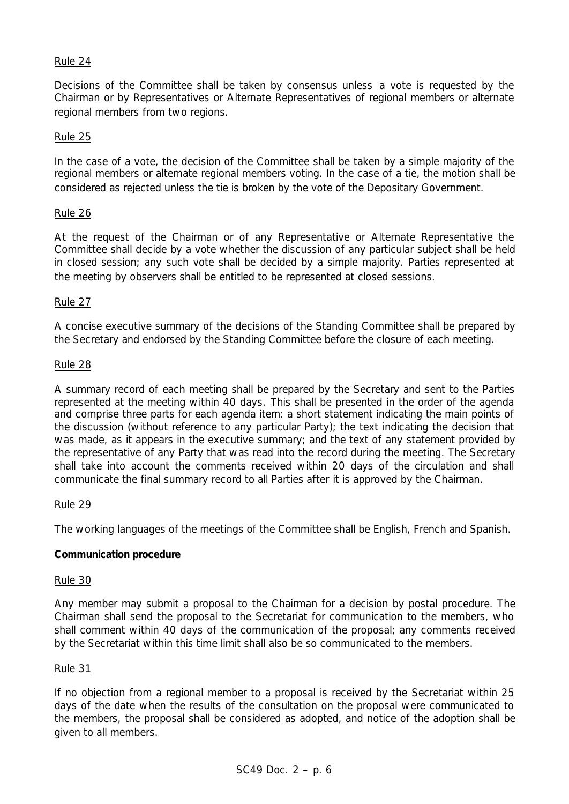## Rule 24

Decisions of the Committee shall be taken by consensus unless a vote is requested by the Chairman or by Representatives or Alternate Representatives of regional members or alternate regional members from two regions.

#### Rule 25

In the case of a vote, the decision of the Committee shall be taken by a simple majority of the regional members or alternate regional members voting. In the case of a tie, the motion shall be considered as rejected unless the tie is broken by the vote of the Depositary Government.

#### Rule 26

At the request of the Chairman or of any Representative or Alternate Representative the Committee shall decide by a vote whether the discussion of any particular subject shall be held in closed session; any such vote shall be decided by a simple majority. Parties represented at the meeting by observers shall be entitled to be represented at closed sessions.

#### Rule 27

A concise executive summary of the decisions of the Standing Committee shall be prepared by the Secretary and endorsed by the Standing Committee before the closure of each meeting.

#### Rule 28

A summary record of each meeting shall be prepared by the Secretary and sent to the Parties represented at the meeting within 40 days. This shall be presented in the order of the agenda and comprise three parts for each agenda item: a short statement indicating the main points of the discussion (without reference to any particular Party); the text indicating the decision that was made, as it appears in the executive summary; and the text of any statement provided by the representative of any Party that was read into the record during the meeting. The Secretary shall take into account the comments received within 20 days of the circulation and shall communicate the final summary record to all Parties after it is approved by the Chairman.

#### Rule 29

The working languages of the meetings of the Committee shall be English, French and Spanish.

#### **Communication procedure**

#### Rule 30

Any member may submit a proposal to the Chairman for a decision by postal procedure. The Chairman shall send the proposal to the Secretariat for communication to the members, who shall comment within 40 days of the communication of the proposal; any comments received by the Secretariat within this time limit shall also be so communicated to the members.

#### Rule 31

If no objection from a regional member to a proposal is received by the Secretariat within 25 days of the date when the results of the consultation on the proposal were communicated to the members, the proposal shall be considered as adopted, and notice of the adoption shall be given to all members.